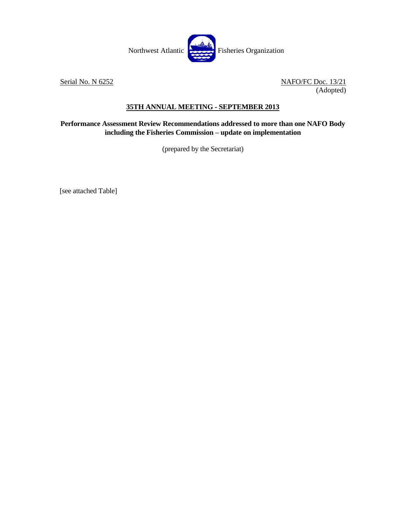

Serial No. N 6252 NAFO/FC Doc. 13/21 (Adopted)

## **35TH ANNUAL MEETING - SEPTEMBER 2013**

## **Performance Assessment Review Recommendations addressed to more than one NAFO Body including the Fisheries Commission – update on implementation**

(prepared by the Secretariat)

[see attached Table]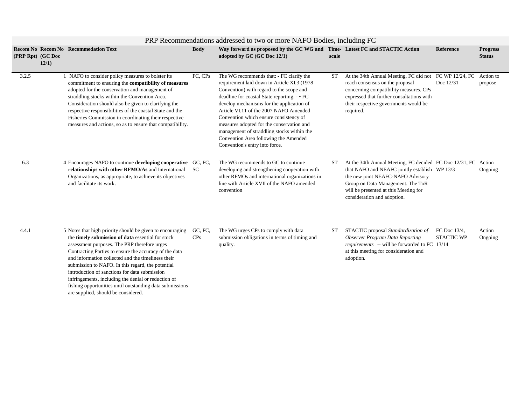|                   | PRP Recommendations addressed to two or more NAFO Bodies, including FC |                                                                                                                                                                                                                                                                                                                                                                                                                                                                                                                                                |                |                                                                                                                                                                                                                                                                                                                                                                                                                                                                                             |           |                                                                                                                                                                                                                                                                   |                                   |                                  |  |  |  |
|-------------------|------------------------------------------------------------------------|------------------------------------------------------------------------------------------------------------------------------------------------------------------------------------------------------------------------------------------------------------------------------------------------------------------------------------------------------------------------------------------------------------------------------------------------------------------------------------------------------------------------------------------------|----------------|---------------------------------------------------------------------------------------------------------------------------------------------------------------------------------------------------------------------------------------------------------------------------------------------------------------------------------------------------------------------------------------------------------------------------------------------------------------------------------------------|-----------|-------------------------------------------------------------------------------------------------------------------------------------------------------------------------------------------------------------------------------------------------------------------|-----------------------------------|----------------------------------|--|--|--|
| (PRP Rpt) (GC Doc | 12/1)                                                                  | <b>Recom No Recom No Recommedation Text</b>                                                                                                                                                                                                                                                                                                                                                                                                                                                                                                    | <b>Body</b>    | Way forward as proposed by the GC WG and Time-Latest FC and STACTIC Action<br>adopted by GC (GC Doc 12/1)                                                                                                                                                                                                                                                                                                                                                                                   | scale     |                                                                                                                                                                                                                                                                   | <b>Reference</b>                  | <b>Progress</b><br><b>Status</b> |  |  |  |
| 3.2.5             |                                                                        | 1 NAFO to consider policy measures to bolster its<br>commitment to ensuring the compatibility of measures<br>adopted for the conservation and management of<br>straddling stocks within the Convention Area.<br>Consideration should also be given to clarifying the<br>respective responsibilities of the coastal State and the<br>Fisheries Commission in coordinating their respective<br>measures and actions, so as to ensure that compatibility.                                                                                         | FC, CPs        | The WG recommends that: - FC clarify the<br>requirement laid down in Article XI.3 (1978)<br>Convention) with regard to the scope and<br>deadline for coastal State reporting. - • FC<br>develop mechanisms for the application of<br>Article VI.11 of the 2007 NAFO Amended<br>Convention which ensure consistency of<br>measures adopted for the conservation and<br>management of straddling stocks within the<br>Convention Area following the Amended<br>Convention's entry into force. | <b>ST</b> | At the 34th Annual Meeting, FC did not FC WP 12/24, FC<br>reach consensus on the proposal<br>concerning compatibility measures. CPs<br>expressed that further consultations with<br>their respective governments would be<br>required.                            | Doc 12/31                         | Action to<br>propose             |  |  |  |
| 6.3               |                                                                        | 4 Encourages NAFO to continue developing cooperative GC, FC,<br>relationships with other RFMO/As and International<br>Organizations, as appropriate, to achieve its objectives<br>and facilitate its work.                                                                                                                                                                                                                                                                                                                                     | <b>SC</b>      | The WG recommends to GC to continue<br>developing and strengthening cooperation with<br>other RFMOs and international organizations in<br>line with Article XVII of the NAFO amended<br>convention                                                                                                                                                                                                                                                                                          | ST        | At the 34th Annual Meeting, FC decided FC Doc 12/31, FC Action<br>that NAFO and NEAFC jointly establish WP 13/3<br>the new joint NEAFC-NAFO Advisory<br>Group on Data Management. The ToR<br>will be presented at this Meeting for<br>consideration and adoption. |                                   | Ongoing                          |  |  |  |
| 4.4.1             |                                                                        | 5 Notes that high priority should be given to encouraging<br>the timely submission of data essential for stock<br>assessment purposes. The PRP therefore urges<br>Contracting Parties to ensure the accuracy of the data<br>and information collected and the timeliness their<br>submission to NAFO. In this regard, the potential<br>introduction of sanctions for data submission<br>infringements, including the denial or reduction of<br>fishing opportunities until outstanding data submissions<br>are supplied, should be considered. | GC, FC,<br>CPs | The WG urges CPs to comply with data<br>submission obligations in terms of timing and<br>quality.                                                                                                                                                                                                                                                                                                                                                                                           | <b>ST</b> | STACTIC proposal Standardization of<br><b>Observer Program Data Reporting</b><br>requirements -- will be forwarded to FC 13/14<br>at this meeting for consideration and<br>adoption.                                                                              | FC Doc 13/4.<br><b>STACTIC WP</b> | Action<br>Ongoing                |  |  |  |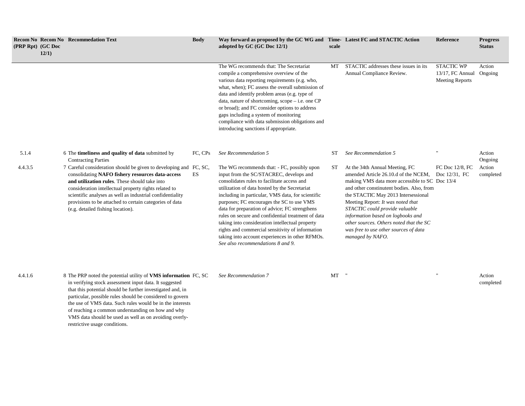| (PRP Rpt) (GC Doc | 12/1) | <b>Recom No Recom No Recommedation Text</b>                                                                                                                                                                                                                                                                                                                                                  | <b>Body</b> | Way forward as proposed by the GC WG and Time-Latest FC and STACTIC Action<br>adopted by GC (GC Doc 12/1)                                                                                                                                                                                                                                                                                                                                                                                                                                                                                       | scale     |                                                                                                                                                                                                                                                                                                                                                                                                                                  | <b>Reference</b>                                                | <b>Progress</b><br><b>Status</b> |
|-------------------|-------|----------------------------------------------------------------------------------------------------------------------------------------------------------------------------------------------------------------------------------------------------------------------------------------------------------------------------------------------------------------------------------------------|-------------|-------------------------------------------------------------------------------------------------------------------------------------------------------------------------------------------------------------------------------------------------------------------------------------------------------------------------------------------------------------------------------------------------------------------------------------------------------------------------------------------------------------------------------------------------------------------------------------------------|-----------|----------------------------------------------------------------------------------------------------------------------------------------------------------------------------------------------------------------------------------------------------------------------------------------------------------------------------------------------------------------------------------------------------------------------------------|-----------------------------------------------------------------|----------------------------------|
|                   |       |                                                                                                                                                                                                                                                                                                                                                                                              |             | The WG recommends that: The Secretariat<br>compile a comprehensive overview of the<br>various data reporting requirements (e.g. who,<br>what, when); FC assess the overall submission of<br>data and identify problem areas (e.g. type of<br>data, nature of shortcoming, scope $-$ i.e. one CP<br>or broad); and FC consider options to address<br>gaps including a system of monitoring<br>compliance with data submission obligations and<br>introducing sanctions if appropriate.                                                                                                           | MT        | STACTIC addresses these issues in its<br>Annual Compliance Review.                                                                                                                                                                                                                                                                                                                                                               | <b>STACTIC WP</b><br>13/17, FC Annual<br><b>Meeting Reports</b> | Action<br>Ongoing                |
| 5.1.4             |       | 6 The <b>timeliness and quality of data</b> submitted by<br><b>Contracting Parties</b>                                                                                                                                                                                                                                                                                                       | FC, CPs     | See Recommendation 5                                                                                                                                                                                                                                                                                                                                                                                                                                                                                                                                                                            | <b>ST</b> | See Recommendation 5                                                                                                                                                                                                                                                                                                                                                                                                             |                                                                 | Action<br>Ongoing                |
| 4.4.3.5           |       | 7 Careful consideration should be given to developing and FC, SC,<br>consolidating NAFO fishery resources data-access<br>and utilization rules. These should take into<br>consideration intellectual property rights related to<br>scientific analyses as well as industrial confidentiality<br>provisions to be attached to certain categories of data<br>(e.g. detailed fishing location). | ES          | The WG recommends that: - FC, possibly upon<br>input from the SC/STACREC, develops and<br>consolidates rules to facilitate access and<br>utilization of data hosted by the Secretariat<br>including in particular, VMS data, for scientific<br>purposes; FC encourages the SC to use VMS<br>data for preparation of advice; FC strengthens<br>rules on secure and confidential treatment of data<br>taking into consideration intellectual property<br>rights and commercial sensitivity of information<br>taking into account experiences in other RFMOs.<br>See also recommendations 8 and 9. | ST        | At the 34th Annual Meeting, FC<br>amended Article 26.10.d of the NCEM.<br>making VMS data more accessible to SC Doc 13/4<br>and other constinutent bodies. Also, from<br>the STACTIC May 2013 Intersessional<br>Meeting Report: It was noted that<br>STACTIC could provide valuable<br>information based on logbooks and<br>other sources. Others noted that the SC<br>was free to use other sources of data<br>managed by NAFO. | FC Doc 12/8, FC<br>Doc 12/31. FC                                | Action<br>completed              |

4.4.1.6 8 The PRP noted the potential utility of **VMS information**  in verifying stock assessment input data. It suggested that this potential should be further investigated and, in particular, possible rules should be considered to govern the use of VMS data. Such rules would be in the interests of reaching a common understanding on how and why VMS data should be used as well as on avoiding overlyrestrictive usage conditions.

For See Recommendation 7 **MT**  $\blacksquare$  **MT**  $\blacksquare$   $\blacksquare$  **MT**  $\blacksquare$  **MT**  $\blacksquare$  **MT**  $\blacksquare$  **MT**  $\blacksquare$  **MT**  $\blacksquare$  **MT**  $\blacksquare$  **MT**  $\blacksquare$  **MT**  $\blacksquare$  **MT**  $\blacksquare$  **MT**  $\blacksquare$  **MT**  $\blacksquare$  **MT**  $\blacksquare$  **MT**  $\blacksquare$  **MT**  $\blacksquare$ 

completed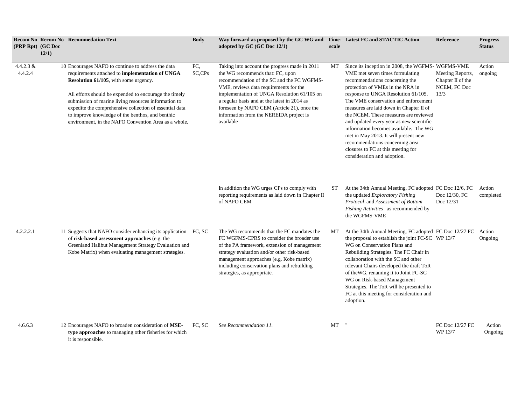| (PRP Rpt) (GC Doc      | 12/1) | <b>Recom No Recom No Recommedation Text</b>                                                                                                                                                                                                                                                                                                                                                                                                            | <b>Body</b>   | Way forward as proposed by the GC WG and Time-Latest FC and STACTIC Action<br>adopted by $GC(GC)$ Doc $12/1$ )                                                                                                                                                                                                                                                                  | scale |                                                                                                                                                                                                                                                                                                                                                                                                                                                                                                                                                                   | <b>Reference</b>                                              | <b>Progress</b><br><b>Status</b> |
|------------------------|-------|--------------------------------------------------------------------------------------------------------------------------------------------------------------------------------------------------------------------------------------------------------------------------------------------------------------------------------------------------------------------------------------------------------------------------------------------------------|---------------|---------------------------------------------------------------------------------------------------------------------------------------------------------------------------------------------------------------------------------------------------------------------------------------------------------------------------------------------------------------------------------|-------|-------------------------------------------------------------------------------------------------------------------------------------------------------------------------------------------------------------------------------------------------------------------------------------------------------------------------------------------------------------------------------------------------------------------------------------------------------------------------------------------------------------------------------------------------------------------|---------------------------------------------------------------|----------------------------------|
| 4.4.2.3 $&$<br>4.4.2.4 |       | 10 Encourages NAFO to continue to address the data<br>requirements attached to <b>implementation</b> of UNGA<br><b>Resolution 61/105</b> , with some urgency.<br>All efforts should be expended to encourage the timely<br>submission of marine living resources information to<br>expedite the comprehensive collection of essential data<br>to improve knowledge of the benthos, and benthic<br>environment, in the NAFO Convention Area as a whole. | FC.<br>SC,CPs | Taking into account the progress made in 2011<br>the WG recommends that: FC, upon<br>recommendation of the SC and the FC WGFMS-<br>VME, reviews data requirements for the<br>implementation of UNGA Resolution 61/105 on<br>a regular basis and at the latest in 2014 as<br>foreseen by NAFO CEM (Article 21), once the<br>information from the NEREIDA project is<br>available | МT    | Since its inception in 2008, the WGFMS-WGFMS-VME<br>VME met seven times formulating<br>recommendations concerning the<br>protection of VMEs in the NRA in<br>response to UNGA Resolution 61/105.<br>The VME conservation and enforcement<br>measures are laid down in Chapter II of<br>the NCEM. These measures are reviewed<br>and updated every year as new scientific<br>information becomes available. The WG<br>met in May 2013. It will present new<br>recommendations concerning area<br>closures to FC at this meeting for<br>consideration and adoption. | Meeting Reports,<br>Chapter II of the<br>NCEM, FC Doc<br>13/3 | Action<br>ongoing                |
|                        |       |                                                                                                                                                                                                                                                                                                                                                                                                                                                        |               | In addition the WG urges CPs to comply with<br>reporting requirements as laid down in Chapter II<br>of NAFO CEM                                                                                                                                                                                                                                                                 | ST    | At the 34th Annual Meeting, FC adopted FC Doc 12/6, FC<br>the updated <i>Exploratory Fishing</i><br>Protocol and Assessment of Bottom<br>Fishing Activities as recommended by<br>the WGFMS-VME                                                                                                                                                                                                                                                                                                                                                                    | Doc 12/30, FC<br>Doc 12/31                                    | Action<br>completed              |
| 4.2.2.2.1              |       | 11 Suggests that NAFO consider enhancing its application FC, SC<br>of risk-based assessment approaches (e.g. the<br>Greenland Halibut Management Strategy Evaluation and<br>Kobe Matrix) when evaluating management strategies.                                                                                                                                                                                                                        |               | The WG recommends that the FC mandates the<br>FC WGFMS-CPRS to consider the broader use<br>of the PA framework, extension of management<br>strategy evaluation and/or other risk-based<br>management approaches (e.g. Kobe matrix)<br>including conservation plans and rebuilding<br>strategies, as appropriate.                                                                | МT    | At the 34th Annual Meeting, FC adopted FC Doc 12/27 FC<br>the proposal to establish the joint FC-SC WP 13/7<br>WG on Conservation Plans and<br>Rebuilding Strategies. The FC Chair in<br>collaboration with the SC and other<br>relevant Chairs developed the draft ToR<br>of the WG, renaming it to Joint FC-SC<br>WG on Risk-based Management<br>Strategies. The ToR will be presented to<br>FC at this meeting for consideration and<br>adoption.                                                                                                              |                                                               | Action<br>Ongoing                |
| 4.6.6.3                |       | 12 Encourages NAFO to broaden consideration of MSE-<br>type approaches to managing other fisheries for which<br>it is responsible.                                                                                                                                                                                                                                                                                                                     | FC, SC        | See Recommendation 11.                                                                                                                                                                                                                                                                                                                                                          | MT    |                                                                                                                                                                                                                                                                                                                                                                                                                                                                                                                                                                   | FC Doc 12/27 FC<br>WP 13/7                                    | Action<br>Ongoing                |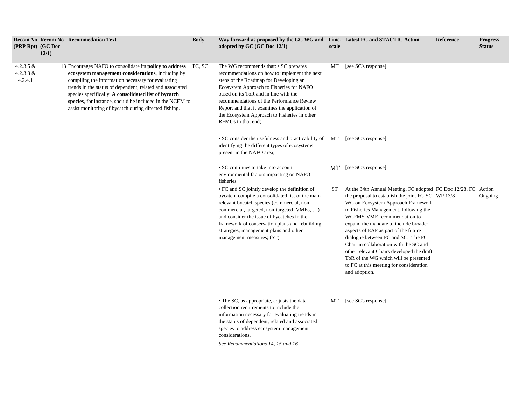| (PRP Rpt) (GC Doc                     | <b>Recom No Recom No Recommedation Text</b><br>12/1)                                                                                                                                                                                                                                                                                                                                                                | <b>Body</b> | Way forward as proposed by the GC WG and Time-Latest FC and STACTIC Action<br>adopted by GC (GC Doc 12/1)                                                                                                                                                                                                                                                                                 | scale |                                                                                                                                                                                                                                                                                                                                                                                                                                                                                                                                                       | <b>Reference</b> | <b>Progress</b><br><b>Status</b> |
|---------------------------------------|---------------------------------------------------------------------------------------------------------------------------------------------------------------------------------------------------------------------------------------------------------------------------------------------------------------------------------------------------------------------------------------------------------------------|-------------|-------------------------------------------------------------------------------------------------------------------------------------------------------------------------------------------------------------------------------------------------------------------------------------------------------------------------------------------------------------------------------------------|-------|-------------------------------------------------------------------------------------------------------------------------------------------------------------------------------------------------------------------------------------------------------------------------------------------------------------------------------------------------------------------------------------------------------------------------------------------------------------------------------------------------------------------------------------------------------|------------------|----------------------------------|
| 4.2.3.5 $&$<br>4.2.3.3 $&$<br>4.2.4.1 | 13 Encourages NAFO to consolidate its policy to address FC, SC<br>ecosystem management considerations, including by<br>compiling the information necessary for evaluating<br>trends in the status of dependent, related and associated<br>species specifically. A consolidated list of bycatch<br>species, for instance, should be included in the NCEM to<br>assist monitoring of bycatch during directed fishing. |             | The WG recommends that: • SC prepares<br>recommendations on how to implement the next<br>steps of the Roadmap for Developing an<br>Ecosystem Approach to Fisheries for NAFO<br>based on its ToR and in line with the<br>recommendations of the Performance Review<br>Report and that it examines the application of<br>the Ecosystem Approach to Fisheries in other<br>RFMOs to that end; | MT    | [see SC's response]                                                                                                                                                                                                                                                                                                                                                                                                                                                                                                                                   |                  |                                  |
|                                       |                                                                                                                                                                                                                                                                                                                                                                                                                     |             | • SC consider the usefulness and practicability of MT [see SC's response]<br>identifying the different types of ecosystems<br>present in the NAFO area;                                                                                                                                                                                                                                   |       |                                                                                                                                                                                                                                                                                                                                                                                                                                                                                                                                                       |                  |                                  |
|                                       |                                                                                                                                                                                                                                                                                                                                                                                                                     |             | • SC continues to take into account<br>environmental factors impacting on NAFO<br>fisheries                                                                                                                                                                                                                                                                                               |       | MT [see SC's response]                                                                                                                                                                                                                                                                                                                                                                                                                                                                                                                                |                  |                                  |
|                                       |                                                                                                                                                                                                                                                                                                                                                                                                                     |             | • FC and SC jointly develop the definition of<br>bycatch, compile a consolidated list of the main<br>relevant bycatch species (commercial, non-<br>commercial, targeted, non-targeted, VMEs, )<br>and consider the issue of bycatches in the<br>framework of conservation plans and rebuilding<br>strategies, management plans and other<br>management measures; (ST)                     | ST    | At the 34th Annual Meeting, FC adopted FC Doc 12/28, FC Action<br>the proposal to establish the joint FC-SC WP 13/8<br>WG on Ecosystem Approach Framework<br>to Fisheries Management, following the<br>WGFMS-VME recommendation to<br>expand the mandate to include broader<br>aspects of EAF as part of the future<br>dialogue between FC and SC. The FC<br>Chair in collaboration with the SC and<br>other relevant Chairs developed the draft<br>ToR of the WG which will be presented<br>to FC at this meeting for consideration<br>and adoption. |                  | Ongoing                          |
|                                       |                                                                                                                                                                                                                                                                                                                                                                                                                     |             | • The SC, as appropriate, adjusts the data<br>collection requirements to include the<br>information necessary for evaluating trends in<br>the status of dependent, related and associated<br>species to address ecosystem management<br>considerations.<br>See Recommendations 14, 15 and 16                                                                                              | MT    | [see SC's response]                                                                                                                                                                                                                                                                                                                                                                                                                                                                                                                                   |                  |                                  |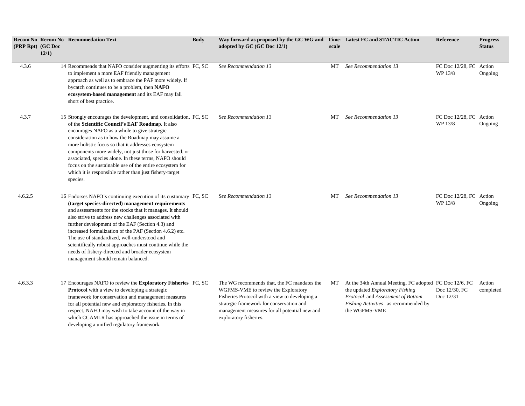| (PRP Rpt) (GC Doc | <b>Recom No Recom No Recommedation Text</b><br>12/1)                                                                                                                                                                                                                                                                                                                                                                                                                                                                                                           | <b>Body</b> | Way forward as proposed by the GC WG and Time-Latest FC and STACTIC Action<br>adopted by $GC(GC)$ Doc $12/1$ )                                                                                                                                              | scale |                                                                                                                                                                                         | <b>Reference</b>                   | <b>Progress</b><br><b>Status</b> |
|-------------------|----------------------------------------------------------------------------------------------------------------------------------------------------------------------------------------------------------------------------------------------------------------------------------------------------------------------------------------------------------------------------------------------------------------------------------------------------------------------------------------------------------------------------------------------------------------|-------------|-------------------------------------------------------------------------------------------------------------------------------------------------------------------------------------------------------------------------------------------------------------|-------|-----------------------------------------------------------------------------------------------------------------------------------------------------------------------------------------|------------------------------------|----------------------------------|
| 4.3.6             | 14 Recommends that NAFO consider augmenting its efforts FC, SC<br>to implement a more EAF friendly management<br>approach as well as to embrace the PAF more widely. If<br>bycatch continues to be a problem, then NAFO<br>ecosystem-based management and its EAF may fall<br>short of best practice.                                                                                                                                                                                                                                                          |             | See Recommendation 13                                                                                                                                                                                                                                       | MT    | See Recommendation 13                                                                                                                                                                   | FC Doc 12/28, FC Action<br>WP 13/8 | Ongoing                          |
| 4.3.7             | 15 Strongly encourages the development, and consolidation, FC, SC<br>of the Scientific Council's EAF Roadmap. It also<br>encourages NAFO as a whole to give strategic<br>consideration as to how the Roadmap may assume a<br>more holistic focus so that it addresses ecosystem<br>components more widely, not just those for harvested, or<br>associated, species alone. In these terms, NAFO should<br>focus on the sustainable use of the entire ecosystem for<br>which it is responsible rather than just fishery-target<br>species.                       |             | See Recommendation 13                                                                                                                                                                                                                                       | МT    | See Recommendation 13                                                                                                                                                                   | FC Doc 12/28, FC Action<br>WP 13/8 | Ongoing                          |
| 4.6.2.5           | 16 Endorses NAFO's continuing execution of its customary FC, SC<br>(target species-directed) management requirements<br>and assessments for the stocks that it manages. It should<br>also strive to address new challenges associated with<br>further development of the EAF (Section 4.3) and<br>increased formalization of the PAF (Section 4.6.2) etc.<br>The use of standardized, well-understood and<br>scientifically robust approaches must continue while the<br>needs of fishery-directed and broader ecosystem<br>management should remain balanced. |             | See Recommendation 13                                                                                                                                                                                                                                       | МT    | See Recommendation 13                                                                                                                                                                   | FC Doc 12/28, FC Action<br>WP 13/8 | Ongoing                          |
| 4.6.3.3           | 17 Encourages NAFO to review the <b>Exploratory Fisheries</b> FC, SC<br>Protocol with a view to developing a strategic<br>framework for conservation and management measures<br>for all potential new and exploratory fisheries. In this<br>respect, NAFO may wish to take account of the way in<br>which CCAMLR has approached the issue in terms of<br>developing a unified regulatory framework.                                                                                                                                                            |             | The WG recommends that, the FC mandates the<br>WGFMS-VME to review the Exploratory<br>Fisheries Protocol with a view to developing a<br>strategic framework for conservation and<br>management measures for all potential new and<br>exploratory fisheries. | MT    | At the 34th Annual Meeting, FC adopted FC Doc 12/6, FC<br>the updated Exploratory Fishing<br>Protocol and Assessment of Bottom<br>Fishing Activities as recommended by<br>the WGFMS-VME | Doc 12/30, FC<br>Doc $12/31$       | Action<br>completed              |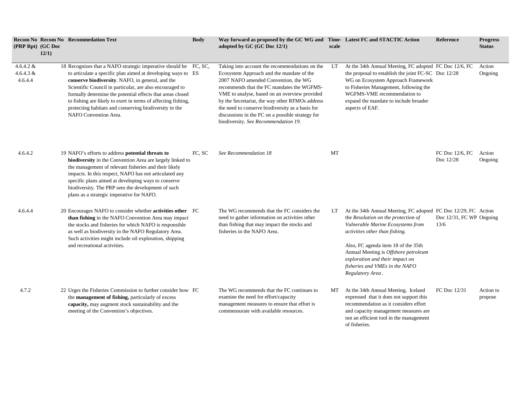| (PRP Rpt) (GC Doc                     | <b>Recom No Recom No Recommedation Text</b><br>12/1)                                                                                                                                                                                                                                                                                                                                                                                                               | <b>Body</b> | Way forward as proposed by the GC WG and Time-Latest FC and STACTIC Action<br>adopted by GC (GC Doc 12/1)                                                                                                                                                                                                                                                                                                                             | scale |                                                                                                                                                                                                                                                                                                                                                      | <b>Reference</b>                 | <b>Progress</b><br><b>Status</b> |
|---------------------------------------|--------------------------------------------------------------------------------------------------------------------------------------------------------------------------------------------------------------------------------------------------------------------------------------------------------------------------------------------------------------------------------------------------------------------------------------------------------------------|-------------|---------------------------------------------------------------------------------------------------------------------------------------------------------------------------------------------------------------------------------------------------------------------------------------------------------------------------------------------------------------------------------------------------------------------------------------|-------|------------------------------------------------------------------------------------------------------------------------------------------------------------------------------------------------------------------------------------------------------------------------------------------------------------------------------------------------------|----------------------------------|----------------------------------|
| 4.6.4.2 $&$<br>4.6.4.3 $&$<br>4.6.4.4 | 18 Recognizes that a NAFO strategic imperative should be FC, SC,<br>to articulate a specific plan aimed at developing ways to ES<br>conserve biodiversity. NAFO, in general, and the<br>Scientific Council in particular, are also encouraged to<br>formally determine the potential effects that areas closed<br>to fishing are likely to exert in terms of affecting fishing,<br>protecting habitats and conserving biodiversity in the<br>NAFO Convention Area. |             | Taking into account the recommendations on the<br>Ecosystem Approach and the mandate of the<br>2007 NAFO amended Convention, the WG<br>recommends that the FC mandates the WGFMS-<br>VME to analyse, based on an overview provided<br>by the Secretariat, the way other RFMOs address<br>the need to conserve biodiversity as a basis for<br>discussions in the FC on a possible strategy for<br>biodiversity. See Recommendation 19. | LT    | At the 34th Annual Meeting, FC adopted FC Doc 12/6, FC<br>the proposal to establish the joint FC-SC Doc 12/28<br>WG on Ecosystem Approach Framework<br>to Fisheries Management, following the<br>WGFMS-VME recommendation to<br>expand the mandate to include broader<br>aspects of EAF.                                                             |                                  | Action<br>Ongoing                |
| 4.6.4.2                               | 19 NAFO's efforts to address potential threats to<br>biodiversity in the Convention Area are largely linked to<br>the management of relevant fisheries and their likely<br>impacts. In this respect, NAFO has not articulated any<br>specific plans aimed at developing ways to conserve<br>biodiversity. The PRP sees the development of such<br>plans as a strategic imperative for NAFO.                                                                        | FC, SC      | See Recommendation 18                                                                                                                                                                                                                                                                                                                                                                                                                 | MT    |                                                                                                                                                                                                                                                                                                                                                      | FC Doc 12/6, FC<br>Doc 12/28     | Action<br>Ongoing                |
| 4.6.4.4                               | 20 Encourages NAFO to consider whether <b>activities other</b> FC<br>than fishing in the NAFO Convention Area may impact<br>the stocks and fisheries for which NAFO is responsible<br>as well as biodiversity in the NAFO Regulatory Area.<br>Such activities might include oil exploration, shipping<br>and recreational activities.                                                                                                                              |             | The WG recommends that the FC considers the<br>need to gather information on activities other<br>than fishing that may impact the stocks and<br>fisheries in the NAFO Area.                                                                                                                                                                                                                                                           | LT    | At the 34th Annual Meeting, FC adopted FC Doc 12/29, FC Action<br>the Resolution on the protection of<br>Vulnerable Marine Ecosystems from<br>activities other than fishing.<br>Also, FC agenda item 18 of the 35th<br>Annual Meeting is Offshore petroleum<br>exploration and their impact on<br>fisheries and VMEs in the NAFO<br>Regulatory Area. | Doc 12/31, FC WP Ongoing<br>13/6 |                                  |
| 4.7.2                                 | 22 Urges the Fisheries Commission to further consider how FC<br>the management of fishing, particularly of excess<br>capacity, may augment stock sustainability and the<br>meeting of the Convention's objectives.                                                                                                                                                                                                                                                 |             | The WG recommends that the FC continues to<br>examine the need for effort/capacity<br>management measures to ensure that effort is<br>commensurate with available resources.                                                                                                                                                                                                                                                          | МT    | At the 34th Annual Meeting, Iceland<br>expressed that it does not support this<br>recommendation as it considers effort<br>and capacity management measures are<br>not an efficient tool in the management<br>of fisheries.                                                                                                                          | FC Doc 12/31                     | Action to<br>propose             |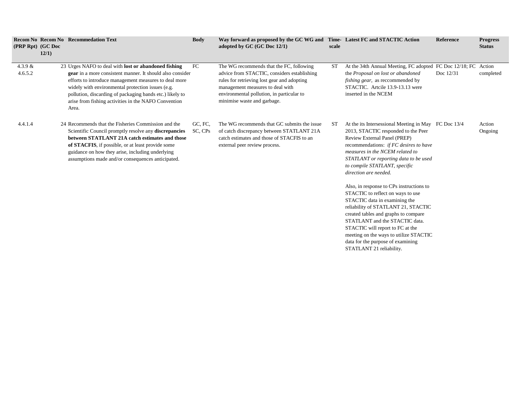| (PRP Rpt) (GC Doc    | 12/1) | <b>Recom No Recom No Recommedation Text</b>                                                                                                                                                                                                                                                                                                                         | <b>Body</b>        | Way forward as proposed by the GC WG and Time-Latest FC and STACTIC Action<br>adopted by GC (GC Doc 12/1)                                                                                                                                              | scale |                                                                                                                                                                                                                                                                                                             | Reference   | <b>Progress</b><br><b>Status</b> |
|----------------------|-------|---------------------------------------------------------------------------------------------------------------------------------------------------------------------------------------------------------------------------------------------------------------------------------------------------------------------------------------------------------------------|--------------------|--------------------------------------------------------------------------------------------------------------------------------------------------------------------------------------------------------------------------------------------------------|-------|-------------------------------------------------------------------------------------------------------------------------------------------------------------------------------------------------------------------------------------------------------------------------------------------------------------|-------------|----------------------------------|
| 4.3.9 $&$<br>4.6.5.2 |       | 23 Urges NAFO to deal with <b>lost or abandoned fishing</b><br>gear in a more consistent manner. It should also consider<br>efforts to introduce management measures to deal more<br>widely with environmental protection issues (e.g.<br>pollution, discarding of packaging bands etc.) likely to<br>arise from fishing activities in the NAFO Convention<br>Area. | FC                 | The WG recommends that the FC, following<br>advice from STACTIC, considers establishing<br>rules for retrieving lost gear and adopting<br>management measures to deal with<br>environmental pollution, in particular to<br>minimise waste and garbage. | ST    | At the 34th Annual Meeting, FC adopted FC Doc 12/18; FC<br>the Proposal on lost or abandoned<br><i>fishing gear</i> , as reccommended by<br>STACTIC. Artcile 13.9-13.13 were<br>inserted in the NCEM                                                                                                        | Doc $12/31$ | Action<br>completed              |
| 4.4.1.4              |       | 24 Recommends that the Fisheries Commission and the<br>Scientific Council promptly resolve any discrepancies<br>between STATLANT 21A catch estimates and those<br>of STACFIS, if possible, or at least provide some<br>guidance on how they arise, including underlying<br>assumptions made and/or consequences anticipated.                                        | GC, FC,<br>SC, CPs | The WG recommends that GC submits the issue<br>of catch discrepancy between STATLANT 21A<br>catch estimates and those of STACFIS to an<br>external peer review process.                                                                                | ST    | At the its Intersessional Meeting in May FC Doc 13/4<br>2013, STACTIC responded to the Peer<br>Review External Panel (PREP)<br>recommendations: if FC desires to have<br>measures in the NCEM related to<br>STATLANT or reporting data to be used<br>to compile STATLANT, specific<br>direction are needed. |             | Action<br>Ongoing                |
|                      |       |                                                                                                                                                                                                                                                                                                                                                                     |                    |                                                                                                                                                                                                                                                        |       | Also, in response to CPs instructions to<br>STACTIC to reflect on ways to use<br>STACTIC data in examining the<br>reliability of STATLANT 21, STACTIC                                                                                                                                                       |             |                                  |

created tables and graphs to compare STATLANT and the STACTIC data. STACTIC will report to FC at the meeting on the ways to utilize STACTIC data for the purpose of examining STATLANT 21 reliability.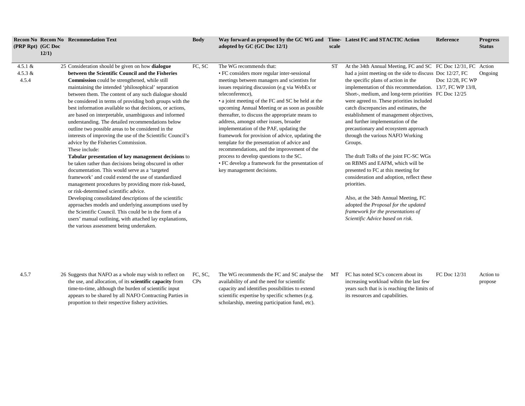| (PRP Rpt) (GC Doc                | 12/1) | <b>Recom No Recom No Recommedation Text</b>                                                                                                                                                                                                                                                                                                                                                                                                                                                                                                                                                                                                                                                                                                                                                                                                                                                                                                                                                                                                                                                                                                                                                                                                                                                            | <b>Body</b> | Way forward as proposed by the GC WG and Time-Latest FC and STACTIC Action<br>adopted by GC (GC Doc 12/1)                                                                                                                                                                                                                                                                                                                                                                                                                                                                                                                                                                                                               | scale |                                                                                                                                                                                                                                                                                                                                                                                                                                                                                                                                                                                                                                                                                                                                                                                                                                                                                              | <b>Reference</b> | <b>Progress</b><br><b>Status</b> |
|----------------------------------|-------|--------------------------------------------------------------------------------------------------------------------------------------------------------------------------------------------------------------------------------------------------------------------------------------------------------------------------------------------------------------------------------------------------------------------------------------------------------------------------------------------------------------------------------------------------------------------------------------------------------------------------------------------------------------------------------------------------------------------------------------------------------------------------------------------------------------------------------------------------------------------------------------------------------------------------------------------------------------------------------------------------------------------------------------------------------------------------------------------------------------------------------------------------------------------------------------------------------------------------------------------------------------------------------------------------------|-------------|-------------------------------------------------------------------------------------------------------------------------------------------------------------------------------------------------------------------------------------------------------------------------------------------------------------------------------------------------------------------------------------------------------------------------------------------------------------------------------------------------------------------------------------------------------------------------------------------------------------------------------------------------------------------------------------------------------------------------|-------|----------------------------------------------------------------------------------------------------------------------------------------------------------------------------------------------------------------------------------------------------------------------------------------------------------------------------------------------------------------------------------------------------------------------------------------------------------------------------------------------------------------------------------------------------------------------------------------------------------------------------------------------------------------------------------------------------------------------------------------------------------------------------------------------------------------------------------------------------------------------------------------------|------------------|----------------------------------|
| 4.5.1 $&$<br>$4.5.3 \&$<br>4.5.4 |       | 25 Consideration should be given on how dialogue<br>between the Scientific Council and the Fisheries<br>Commission could be strengthened, while still<br>maintaining the intended 'philosophical' separation<br>between them. The content of any such dialogue should<br>be considered in terms of providing both groups with the<br>best information available so that decisions, or actions,<br>are based on interpretable, unambiguous and informed<br>understanding. The detailed recommendations below<br>outline two possible areas to be considered in the<br>interests of improving the use of the Scientific Council's<br>advice by the Fisheries Commission.<br>These include:<br>Tabular presentation of key management decisions to<br>be taken rather than decisions being obscured in other<br>documentation. This would serve as a 'targeted<br>framework' and could extend the use of standardized<br>management procedures by providing more risk-based,<br>or risk-determined scientific advice.<br>Developing consolidated descriptions of the scientific<br>approaches models and underlying assumptions used by<br>the Scientific Council. This could be in the form of a<br>users' manual outlining, with attached lay explanations,<br>the various assessment being undertaken. | FC, SC      | The WG recommends that:<br>• FC considers more regular inter-sessional<br>meetings between managers and scientists for<br>issues requiring discussion (e.g via WebEx or<br>teleconference),<br>• a joint meeting of the FC and SC be held at the<br>upcoming Annual Meeting or as soon as possible<br>thereafter, to discuss the appropriate means to<br>address, amongst other issues, broader<br>implementation of the PAF, updating the<br>framework for provision of advice, updating the<br>template for the presentation of advice and<br>recommendations, and the improvement of the<br>process to develop questions to the SC.<br>• FC develop a framework for the presentation of<br>key management decisions. | ST    | At the 34th Annual Meeting, FC and SC FC Doc 12/31, FC Action<br>had a joint meeting on the side to discuss Doc 12/27, FC<br>the specific plans of action in the<br>implementation of this recommendation. 13/7, FC WP 13/8,<br>Short-, medium, and long-term priorities FC Doc 12/25<br>were agreed to. These priorities included<br>catch discrepancies and estimates, the<br>establishment of management objectives,<br>and further implementation of the<br>precautionary and ecosystem approach<br>through the various NAFO Working<br>Groups.<br>The draft ToRs of the joint FC-SC WGs<br>on RBMS and EAFM, which will be<br>presented to FC at this meeting for<br>consideration and adoption, reflect these<br>priorities.<br>Also, at the 34th Annual Meeting, FC<br>adopted the Proposal for the updated<br>framework for the presentations of<br>Scientific Advice based on risk. | Doc 12/28, FC WP | Ongoing                          |

- 4.5.7 26 Suggests that NAFO as a whole may wish to reflect on the use, and allocation, of its **scientific capacity** from time-to-time, although the burden of scientific input appears to be shared by all NAFO Contracting Parties in proportion to their respective fishery activities. FC, SC, CPs
	- The WG recommends the FC and SC analyse the availability of and the need for scientific capacity and identifies possibilities to extend scientific expertise by specific schemes (e.g. scholarship, meeting participation fund, etc).
		- MT FC has noted SC's concern about its increasing workload wihtin the last few years such that is is reaching the limits of its resources and capabilities. FC Doc 12/31 Action to propose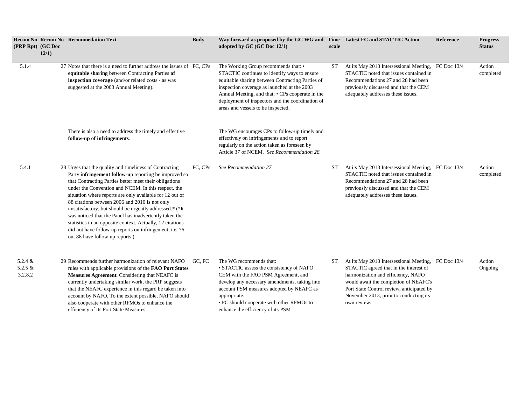| (PRP Rpt) (GC Doc                  | 12/1) | <b>Recom No Recom No Recommedation Text</b>                                                                                                                                                                                                                                                                                                                                                                                                                                                                                                                                                                                     | <b>Body</b> | Way forward as proposed by the GC WG and Time-Latest FC and STACTIC Action<br>adopted by GC (GC Doc 12/1)                                                                                                                                                                                                                             | scale |                                                                                                                                                                                                                                                                                    | <b>Reference</b> | <b>Progress</b><br><b>Status</b> |
|------------------------------------|-------|---------------------------------------------------------------------------------------------------------------------------------------------------------------------------------------------------------------------------------------------------------------------------------------------------------------------------------------------------------------------------------------------------------------------------------------------------------------------------------------------------------------------------------------------------------------------------------------------------------------------------------|-------------|---------------------------------------------------------------------------------------------------------------------------------------------------------------------------------------------------------------------------------------------------------------------------------------------------------------------------------------|-------|------------------------------------------------------------------------------------------------------------------------------------------------------------------------------------------------------------------------------------------------------------------------------------|------------------|----------------------------------|
| 5.1.4                              |       | 27 Notes that there is a need to further address the issues of FC, CPs<br>equitable sharing between Contracting Parties of<br>inspection coverage (and/or related costs - as was<br>suggested at the 2003 Annual Meeting).                                                                                                                                                                                                                                                                                                                                                                                                      |             | The Working Group recommends that: •<br>STACTIC continues to identify ways to ensure<br>equitable sharing between Contracting Parties of<br>inspection coverage as launched at the 2003<br>Annual Meeting, and that; • CPs cooperate in the<br>deployment of inspectors and the coordination of<br>areas and vessels to be inspected. | ST    | At its May 2013 Intersessional Meeting, FC Doc 13/4<br>STACTIC noted that issues contained in<br>Recommendations 27 and 28 had been<br>previously discussed and that the CEM<br>adequately addresses these issues.                                                                 |                  | Action<br>completed              |
|                                    |       | There is also a need to address the timely and effective<br>follow-up of infringements.                                                                                                                                                                                                                                                                                                                                                                                                                                                                                                                                         |             | The WG encourages CPs to follow-up timely and<br>effectively on infringements and to report<br>regularly on the action taken as foreseen by<br>Article 37 of NCEM. See Recommendation 28.                                                                                                                                             |       |                                                                                                                                                                                                                                                                                    |                  |                                  |
| 5.4.1                              |       | 28 Urges that the quality and timeliness of Contracting<br>Party infringement follow-up reporting be improved so<br>that Contracting Parties better meet their obligations<br>under the Convention and NCEM. In this respect, the<br>situation where reports are only available for 12 out of<br>88 citations between 2006 and 2010 is not only<br>unsatisfactory, but should be urgently addressed.* (*It<br>was noticed that the Panel has inadvertently taken the<br>statistics in an opposite context. Actually, 12 citations<br>did not have follow-up reports on infringement, i.e. 76<br>out 88 have follow-up reports.) | FC, CPs     | See Recommendation 27.                                                                                                                                                                                                                                                                                                                | ST    | At its May 2013 Intersessional Meeting, FC Doc 13/4<br>STACTIC noted that issues contained in<br>Recommendations 27 and 28 had been<br>previously discussed and that the CEM<br>adequately addresses these issues.                                                                 |                  | Action<br>completed              |
| 5.2.4 $&$<br>$5.2.5 \&$<br>3.2.8.2 |       | 29 Recommends further harmonization of relevant NAFO<br>rules with applicable provisions of the FAO Port States<br>Measures Agreement. Considering that NEAFC is<br>currently undertaking similar work, the PRP suggests<br>that the NEAFC experience in this regard be taken into<br>account by NAFO. To the extent possible, NAFO should<br>also cooperate with other RFMOs to enhance the<br>efficiency of its Port State Measures.                                                                                                                                                                                          | GC, FC      | The WG recommends that:<br>• STACTIC assess the consistency of NAFO<br>CEM with the FAO PSM Agreement, and<br>develop any necessary amendments, taking into<br>account PSM measures adopted by NEAFC as<br>appropriate.<br>• FC should cooperate with other RFMOs to<br>enhance the efficiency of its PSM                             | ST    | At its May 2013 Intersessional Meeting, FC Doc 13/4<br>STACTIC agreed that in the interest of<br>harmonization and efficiency, NAFO<br>would await the completion of NEAFC's<br>Port State Control review, anticipated by<br>November 2013, prior to conducting its<br>own review. |                  | Action<br>Ongoing                |